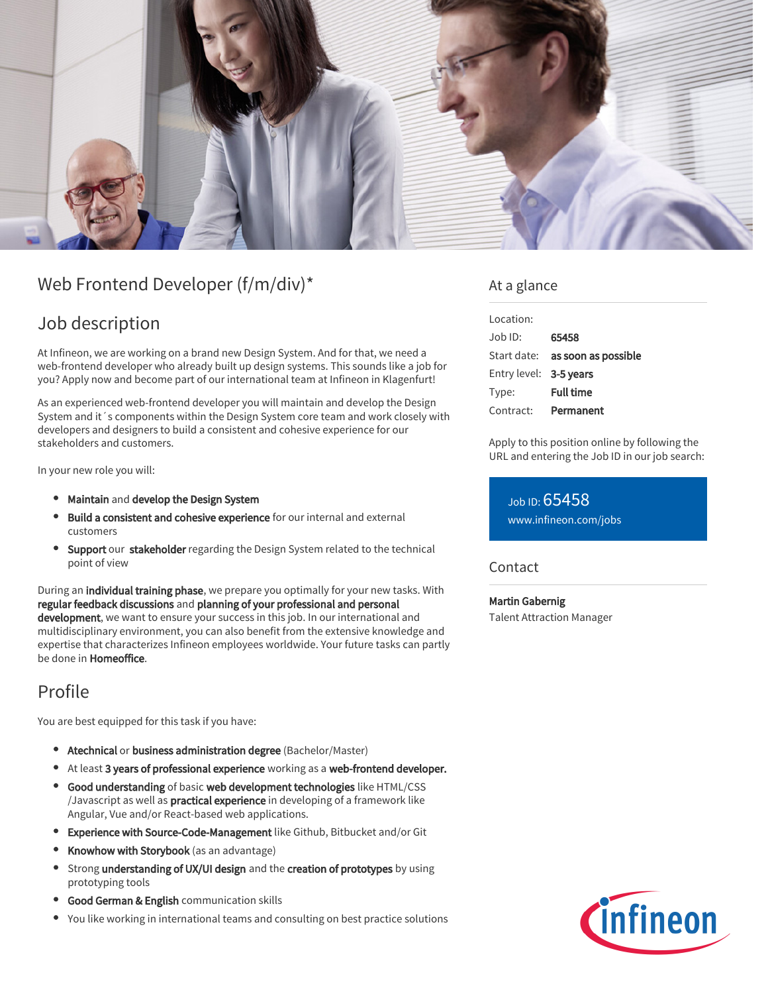

# Web Frontend Developer (f/m/div)\*

## Job description

At Infineon, we are working on a brand new Design System. And for that, we need a web-frontend developer who already built up design systems. This sounds like a job for you? Apply now and become part of our international team at Infineon in Klagenfurt!

As an experienced web-frontend developer you will maintain and develop the Design System and it´s components within the Design System core team and work closely with developers and designers to build a consistent and cohesive experience for our stakeholders and customers.

In your new role you will:

- Maintain and develop the Design System
- Build a consistent and cohesive experience for our internal and external customers
- **Support our stakeholder** regarding the Design System related to the technical point of view

During an individual training phase, we prepare you optimally for your new tasks. With regular feedback discussions and planning of your professional and personal development, we want to ensure your success in this job. In our international and multidisciplinary environment, you can also benefit from the extensive knowledge and expertise that characterizes Infineon employees worldwide. Your future tasks can partly be done in Homeoffice.

## Profile

You are best equipped for this task if you have:

- **Atechnical or business administration degree** (Bachelor/Master)
- At least 3 years of professional experience working as a web-frontend developer.
- Good understanding of basic web development technologies like HTML/CSS /Javascript as well as practical experience in developing of a framework like Angular, Vue and/or React-based web applications.
- **Experience with Source-Code-Management** like Github, Bitbucket and/or Git
- Knowhow with Storybook (as an advantage)
- Strong understanding of UX/UI design and the creation of prototypes by using prototyping tools
- Good German & English communication skills
- You like working in international teams and consulting on best practice solutions

#### At a glance

| Location:              |                                        |
|------------------------|----------------------------------------|
| $Joh$ ID:              | 65458                                  |
|                        | Start date: <b>as soon as possible</b> |
| Entry level: 3-5 years |                                        |
| Type:                  | <b>Full time</b>                       |
| Contract:              | Permanent                              |

Apply to this position online by following the URL and entering the Job ID in our job search:

Job ID: 65458 [www.infineon.com/jobs](https://www.infineon.com/jobs)

#### **Contact**

Martin Gabernig Talent Attraction Manager